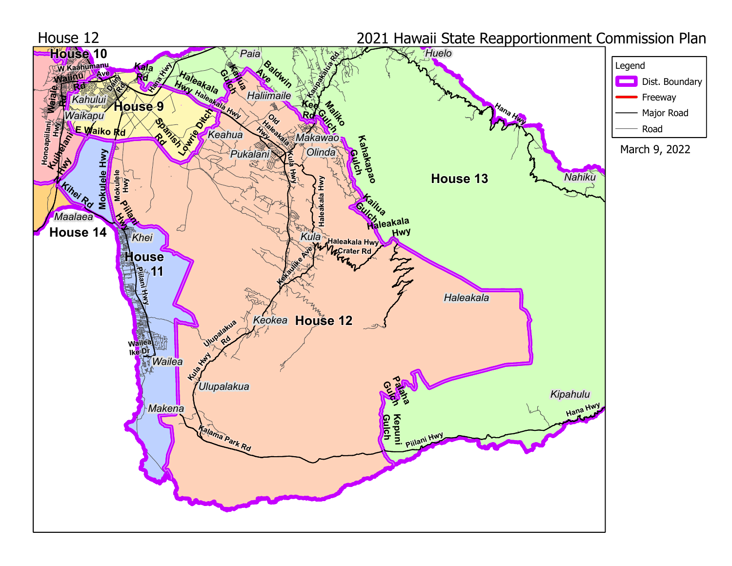